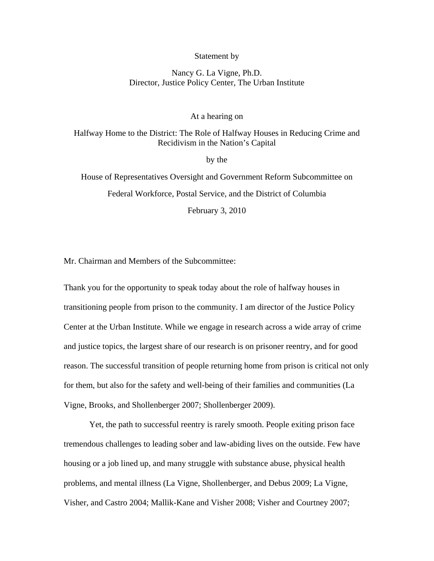#### Statement by

# Nancy G. La Vigne, Ph.D. Director, Justice Policy Center, The Urban Institute

### At a hearing on

## Halfway Home to the District: The Role of Halfway Houses in Reducing Crime and Recidivism in the Nation's Capital

by the

House of Representatives Oversight and Government Reform Subcommittee on Federal Workforce, Postal Service, and the District of Columbia February 3, 2010

Mr. Chairman and Members of the Subcommittee:

Thank you for the opportunity to speak today about the role of halfway houses in transitioning people from prison to the community. I am director of the Justice Policy Center at the Urban Institute. While we engage in research across a wide array of crime and justice topics, the largest share of our research is on prisoner reentry, and for good reason. The successful transition of people returning home from prison is critical not only for them, but also for the safety and well-being of their families and communities (La Vigne, Brooks, and Shollenberger 2007; Shollenberger 2009).

Yet, the path to successful reentry is rarely smooth. People exiting prison face tremendous challenges to leading sober and law-abiding lives on the outside. Few have housing or a job lined up, and many struggle with substance abuse, physical health problems, and mental illness (La Vigne, Shollenberger, and Debus 2009; La Vigne, Visher, and Castro 2004; Mallik-Kane and Visher 2008; Visher and Courtney 2007;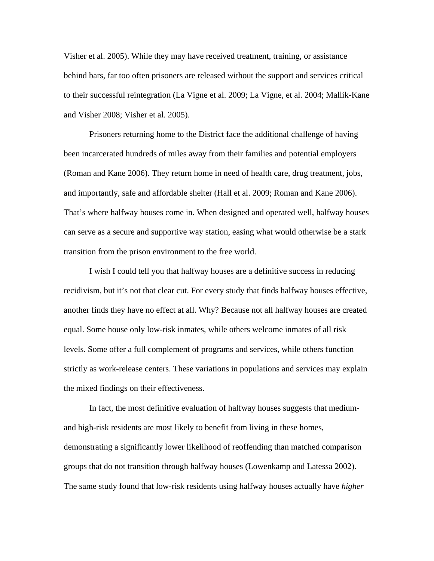Visher et al. 2005). While they may have received treatment, training, or assistance behind bars, far too often prisoners are released without the support and services critical to their successful reintegration (La Vigne et al. 2009; La Vigne, et al. 2004; Mallik-Kane and Visher 2008; Visher et al. 2005).

Prisoners returning home to the District face the additional challenge of having been incarcerated hundreds of miles away from their families and potential employers (Roman and Kane 2006). They return home in need of health care, drug treatment, jobs, and importantly, safe and affordable shelter (Hall et al. 2009; Roman and Kane 2006). That's where halfway houses come in. When designed and operated well, halfway houses can serve as a secure and supportive way station, easing what would otherwise be a stark transition from the prison environment to the free world.

I wish I could tell you that halfway houses are a definitive success in reducing recidivism, but it's not that clear cut. For every study that finds halfway houses effective, another finds they have no effect at all. Why? Because not all halfway houses are created equal. Some house only low-risk inmates, while others welcome inmates of all risk levels. Some offer a full complement of programs and services, while others function strictly as work-release centers. These variations in populations and services may explain the mixed findings on their effectiveness.

In fact, the most definitive evaluation of halfway houses suggests that mediumand high-risk residents are most likely to benefit from living in these homes, demonstrating a significantly lower likelihood of reoffending than matched comparison groups that do not transition through halfway houses (Lowenkamp and Latessa 2002). The same study found that low-risk residents using halfway houses actually have *higher*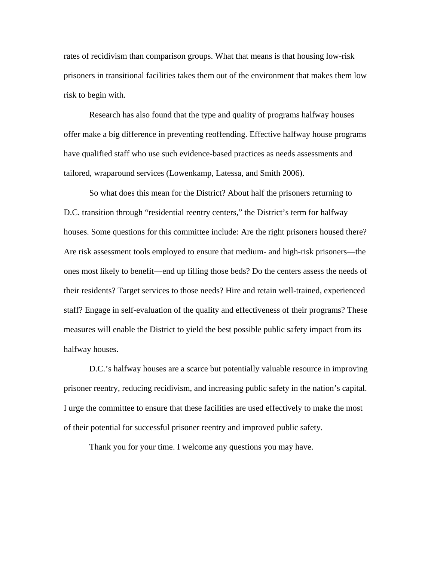rates of recidivism than comparison groups. What that means is that housing low-risk prisoners in transitional facilities takes them out of the environment that makes them low risk to begin with.

Research has also found that the type and quality of programs halfway houses offer make a big difference in preventing reoffending. Effective halfway house programs have qualified staff who use such evidence-based practices as needs assessments and tailored, wraparound services (Lowenkamp, Latessa, and Smith 2006).

 So what does this mean for the District? About half the prisoners returning to D.C. transition through "residential reentry centers," the District's term for halfway houses. Some questions for this committee include: Are the right prisoners housed there? Are risk assessment tools employed to ensure that medium- and high-risk prisoners—the ones most likely to benefit—end up filling those beds? Do the centers assess the needs of their residents? Target services to those needs? Hire and retain well-trained, experienced staff? Engage in self-evaluation of the quality and effectiveness of their programs? These measures will enable the District to yield the best possible public safety impact from its halfway houses.

D.C.'s halfway houses are a scarce but potentially valuable resource in improving prisoner reentry, reducing recidivism, and increasing public safety in the nation's capital. I urge the committee to ensure that these facilities are used effectively to make the most of their potential for successful prisoner reentry and improved public safety.

Thank you for your time. I welcome any questions you may have.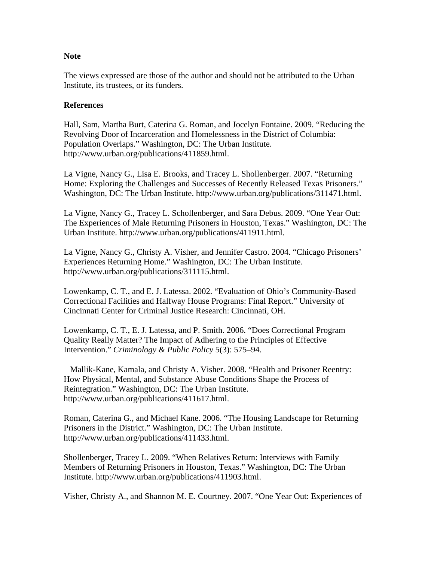# **Note**

The views expressed are those of the author and should not be attributed to the Urban Institute, its trustees, or its funders.

# **References**

Hall, Sam, Martha Burt, Caterina G. Roman, and Jocelyn Fontaine. 2009. "Reducing the Revolving Door of Incarceration and Homelessness in the District of Columbia: Population Overlaps." Washington, DC: The Urban Institute. http://www.urban.org/publications/411859.html.

La Vigne, Nancy G., Lisa E. Brooks, and Tracey L. Shollenberger. 2007. "Returning Home: Exploring the Challenges and Successes of Recently Released Texas Prisoners." Washington, DC: The Urban Institute. http://www.urban.org/publications/311471.html.

La Vigne, Nancy G., Tracey L. Schollenberger, and Sara Debus. 2009. "One Year Out: The Experiences of Male Returning Prisoners in Houston, Texas." Washington, DC: The Urban Institute. http://www.urban.org/publications/411911.html.

La Vigne, Nancy G., Christy A. Visher, and Jennifer Castro. 2004. "Chicago Prisoners' Experiences Returning Home." Washington, DC: The Urban Institute. http://www.urban.org/publications/311115.html.

Lowenkamp, C. T., and E. J. Latessa. 2002. "Evaluation of Ohio's Community-Based Correctional Facilities and Halfway House Programs: Final Report." University of Cincinnati Center for Criminal Justice Research: Cincinnati, OH.

Lowenkamp, C. T., E. J. Latessa, and P. Smith. 2006. "Does Correctional Program Quality Really Matter? The Impact of Adhering to the Principles of Effective Intervention." *Criminology & Public Policy* 5(3): 575–94.

 Mallik-Kane, Kamala, and Christy A. Visher. 2008. "Health and Prisoner Reentry: How Physical, Mental, and Substance Abuse Conditions Shape the Process of Reintegration." Washington, DC: The Urban Institute. http://www.urban.org/publications/411617.html.

Roman, Caterina G., and Michael Kane. 2006. "The Housing Landscape for Returning Prisoners in the District." Washington, DC: The Urban Institute. http://www.urban.org/publications/411433.html.

Shollenberger, Tracey L. 2009. "When Relatives Return: Interviews with Family Members of Returning Prisoners in Houston, Texas." Washington, DC: The Urban Institute. http://www.urban.org/publications/411903.html.

Visher, Christy A., and Shannon M. E. Courtney. 2007. "One Year Out: Experiences of